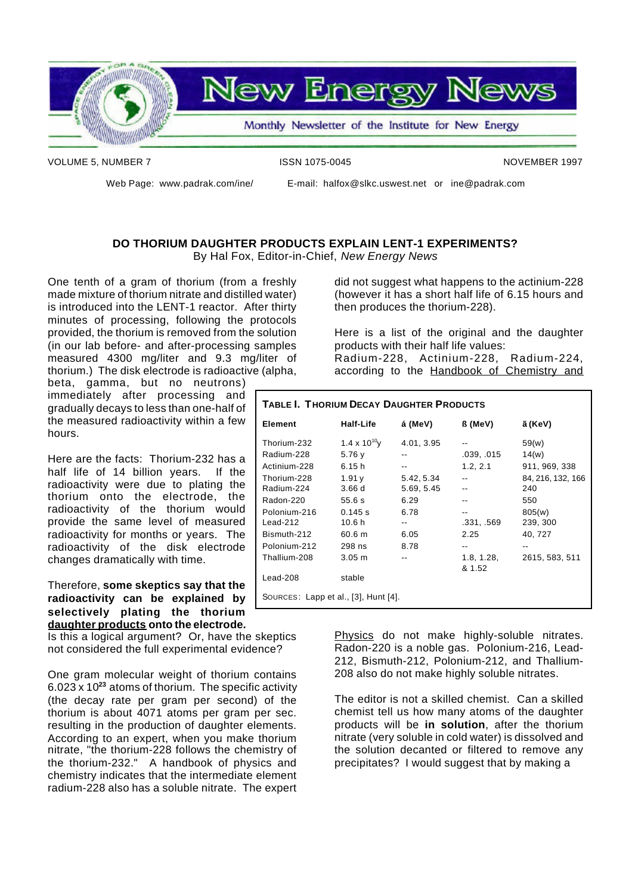

VOLUME 5, NUMBER 7 ISSN 1075-0045 NOVEMBER 1997

hours.

Web Page: www.padrak.com/ine/ E-mail: halfox@slkc.uswest.net or ine@padrak.com

#### **DO THORIUM DAUGHTER PRODUCTS EXPLAIN LENT-1 EXPERIMENTS?** By Hal Fox, Editor-in-Chief, *New Energy News*

One tenth of a gram of thorium (from a freshly made mixture of thorium nitrate and distilled water) is introduced into the LENT-1 reactor. After thirty minutes of processing, following the protocols provided, the thorium is removed from the solution (in our lab before- and after-processing samples measured 4300 mg/liter and 9.3 mg/liter of thorium.) The disk electrode is radioactive (alpha, beta, gamma, but no neutrons)

immediately after processing and gradually decays to less than one-half of the measured radioactivity within a few

Here are the facts: Thorium-232 has a half life of 14 billion years. If the radioactivity were due to plating the thorium onto the electrode, the radioactivity of the thorium would provide the same level of measured radioactivity for months or years. The radioactivity of the disk electrode

did not suggest what happens to the actinium-228 (however it has a short half life of 6.15 hours and then produces the thorium-228).

Here is a list of the original and the daughter products with their half life values:

Radium-228, Actinium-228, Radium-224, according to the Handbook of Chemistry and

| <b>TABLE I. THORIUM DECAY DAUGHTER PRODUCTS</b> |                   |            |            |                   |
|-------------------------------------------------|-------------------|------------|------------|-------------------|
| Element                                         | <b>Half-Life</b>  | á (MeV)    | ß (MeV)    | ã (KeV)           |
| Thorium-232                                     | 1.4 x $10^{10}$ y | 4.01, 3.95 | --         | 59(w)             |
| Radium-228                                      | 5.76 y            |            | .039, .015 | 14(w)             |
| Actinium-228                                    | 6.15h             | $-$        | 1.2, 2.1   | 911, 969, 338     |
| Thorium-228                                     | 1.91v             | 5.42, 5.34 |            | 84, 216, 132, 166 |
| Radium-224                                      | 3.66d             | 5.69, 5.45 | $-$        | 240               |
| Radon-220                                       | 55.6s             | 6.29       | --         | 550               |
| Polonium-216                                    | 0.145 s           | 6.78       | $-$        | 805(w)            |
| Lead-212                                        | 10.6 <sub>h</sub> | $- -$      | .331, .569 | 239, 300          |
| Bismuth-212                                     | 60.6 m            | 6.05       | 2.25       | 40, 727           |
| Polonium-212                                    | 298 ns            | 8.78       |            |                   |
| Thallium-208                                    | 3.05 m            |            | 1.8, 1.28, | 2615, 583, 511    |
|                                                 |                   |            | & 1.52     |                   |
| Lead-208                                        | stable            |            |            |                   |
| SOURCES: Lapp et al., [3], Hunt [4].            |                   |            |            |                   |

Therefore, **some skeptics say that the radioactivity can be explained by selectively plating the thorium daughter products onto the electrode.**

changes dramatically with time.

Is this a logical argument? Or, have the skeptics not considered the full experimental evidence?

One gram molecular weight of thorium contains 6.023 x 10**<sup>23</sup>** atoms of thorium. The specific activity (the decay rate per gram per second) of the thorium is about 4071 atoms per gram per sec. resulting in the production of daughter elements. According to an expert, when you make thorium nitrate, "the thorium-228 follows the chemistry of the thorium-232." A handbook of physics and chemistry indicates that the intermediate element radium-228 also has a soluble nitrate. The expert Physics do not make highly-soluble nitrates. Radon-220 is a noble gas. Polonium-216, Lead-212, Bismuth-212, Polonium-212, and Thallium-208 also do not make highly soluble nitrates.

The editor is not a skilled chemist. Can a skilled chemist tell us how many atoms of the daughter products will be **in solution**, after the thorium nitrate (very soluble in cold water) is dissolved and the solution decanted or filtered to remove any precipitates? I would suggest that by making a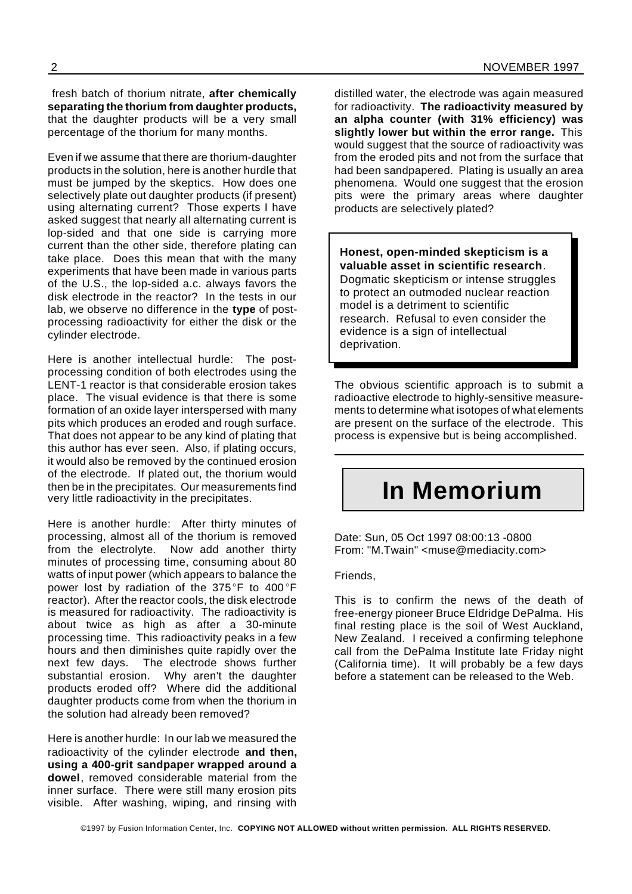fresh batch of thorium nitrate, **after chemically separating the thorium from daughter products,** that the daughter products will be a very small percentage of the thorium for many months.

Even if we assume that there are thorium-daughter products in the solution, here is another hurdle that must be jumped by the skeptics. How does one selectively plate out daughter products (if present) using alternating current? Those experts I have asked suggest that nearly all alternating current is lop-sided and that one side is carrying more current than the other side, therefore plating can take place. Does this mean that with the many experiments that have been made in various parts of the U.S., the lop-sided a.c. always favors the disk electrode in the reactor? In the tests in our lab, we observe no difference in the **type** of postprocessing radioactivity for either the disk or the cylinder electrode.

Here is another intellectual hurdle: The postprocessing condition of both electrodes using the LENT-1 reactor is that considerable erosion takes place. The visual evidence is that there is some formation of an oxide layer interspersed with many pits which produces an eroded and rough surface. That does not appear to be any kind of plating that this author has ever seen. Also, if plating occurs, it would also be removed by the continued erosion of the electrode. If plated out, the thorium would then be in the precipitates. Our measurements find very little radioactivity in the precipitates.

Here is another hurdle: After thirty minutes of processing, almost all of the thorium is removed from the electrolyte. Now add another thirty minutes of processing time, consuming about 80 watts of input power (which appears to balance the power lost by radiation of the 375°F to 400°F reactor). After the reactor cools, the disk electrode is measured for radioactivity. The radioactivity is about twice as high as after a 30-minute processing time. This radioactivity peaks in a few hours and then diminishes quite rapidly over the next few days. The electrode shows further substantial erosion. Why aren't the daughter products eroded off? Where did the additional daughter products come from when the thorium in the solution had already been removed?

Here is another hurdle: In our lab we measured the radioactivity of the cylinder electrode **and then, using a 400-grit sandpaper wrapped around a dowel**, removed considerable material from the inner surface. There were still many erosion pits visible. After washing, wiping, and rinsing with distilled water, the electrode was again measured for radioactivity. **The radioactivity measured by an alpha counter (with 31% efficiency) was slightly lower but within the error range.** This would suggest that the source of radioactivity was from the eroded pits and not from the surface that had been sandpapered. Plating is usually an area phenomena. Would one suggest that the erosion pits were the primary areas where daughter products are selectively plated?

#### **Honest, open-minded skepticism is a valuable asset in scientific research**.

Dogmatic skepticism or intense struggles to protect an outmoded nuclear reaction model is a detriment to scientific research. Refusal to even consider the evidence is a sign of intellectual deprivation.

The obvious scientific approach is to submit a radioactive electrode to highly-sensitive measurements to determine what isotopes of what elements are present on the surface of the electrode. This process is expensive but is being accomplished.

## **In Memorium**

Date: Sun, 05 Oct 1997 08:00:13 -0800 From: "M.Twain" <muse@mediacity.com>

Friends,

This is to confirm the news of the death of free-energy pioneer Bruce Eldridge DePalma. His final resting place is the soil of West Auckland, New Zealand. I received a confirming telephone call from the DePalma Institute late Friday night (California time). It will probably be a few days before a statement can be released to the Web.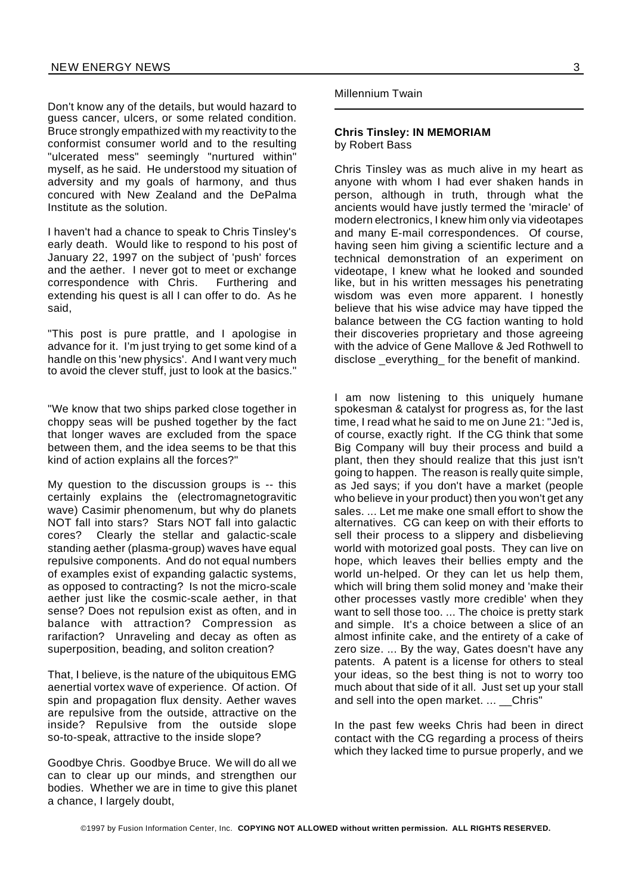Don't know any of the details, but would hazard to guess cancer, ulcers, or some related condition. Bruce strongly empathized with my reactivity to the conformist consumer world and to the resulting "ulcerated mess" seemingly "nurtured within" myself, as he said. He understood my situation of adversity and my goals of harmony, and thus concured with New Zealand and the DePalma Institute as the solution.

I haven't had a chance to speak to Chris Tinsley's early death. Would like to respond to his post of January 22, 1997 on the subject of 'push' forces and the aether. I never got to meet or exchange correspondence with Chris. Furthering and extending his quest is all I can offer to do. As he said,

"This post is pure prattle, and I apologise in advance for it. I'm just trying to get some kind of a handle on this 'new physics'. And I want very much to avoid the clever stuff, just to look at the basics."

"We know that two ships parked close together in choppy seas will be pushed together by the fact that longer waves are excluded from the space between them, and the idea seems to be that this kind of action explains all the forces?"

My question to the discussion groups is -- this certainly explains the (electromagnetogravitic wave) Casimir phenomenum, but why do planets NOT fall into stars? Stars NOT fall into galactic cores? Clearly the stellar and galactic-scale standing aether (plasma-group) waves have equal repulsive components. And do not equal numbers of examples exist of expanding galactic systems, as opposed to contracting? Is not the micro-scale aether just like the cosmic-scale aether, in that sense? Does not repulsion exist as often, and in balance with attraction? Compression as rarifaction? Unraveling and decay as often as superposition, beading, and soliton creation?

That, I believe, is the nature of the ubiquitous EMG aenertial vortex wave of experience. Of action. Of spin and propagation flux density. Aether waves are repulsive from the outside, attractive on the inside? Repulsive from the outside slope so-to-speak, attractive to the inside slope?

Goodbye Chris. Goodbye Bruce. We will do all we can to clear up our minds, and strengthen our bodies. Whether we are in time to give this planet a chance, I largely doubt,

Millennium Twain

#### **Chris Tinsley: IN MEMORIAM** by Robert Bass

Chris Tinsley was as much alive in my heart as anyone with whom I had ever shaken hands in person, although in truth, through what the ancients would have justly termed the 'miracle' of modern electronics, I knew him only via videotapes and many E-mail correspondences. Of course, having seen him giving a scientific lecture and a technical demonstration of an experiment on videotape, I knew what he looked and sounded like, but in his written messages his penetrating wisdom was even more apparent. I honestly believe that his wise advice may have tipped the balance between the CG faction wanting to hold their discoveries proprietary and those agreeing with the advice of Gene Mallove & Jed Rothwell to disclose everything for the benefit of mankind.

I am now listening to this uniquely humane spokesman & catalyst for progress as, for the last time, I read what he said to me on June 21: "Jed is, of course, exactly right. If the CG think that some Big Company will buy their process and build a plant, then they should realize that this just isn't going to happen. The reason is really quite simple, as Jed says; if you don't have a market (people who believe in your product) then you won't get any sales. ... Let me make one small effort to show the alternatives. CG can keep on with their efforts to sell their process to a slippery and disbelieving world with motorized goal posts. They can live on hope, which leaves their bellies empty and the world un-helped. Or they can let us help them, which will bring them solid money and 'make their other processes vastly more credible' when they want to sell those too. ... The choice is pretty stark and simple. It's a choice between a slice of an almost infinite cake, and the entirety of a cake of zero size. ... By the way, Gates doesn't have any patents. A patent is a license for others to steal your ideas, so the best thing is not to worry too much about that side of it all. Just set up your stall and sell into the open market. ... Chris"

In the past few weeks Chris had been in direct contact with the CG regarding a process of theirs which they lacked time to pursue properly, and we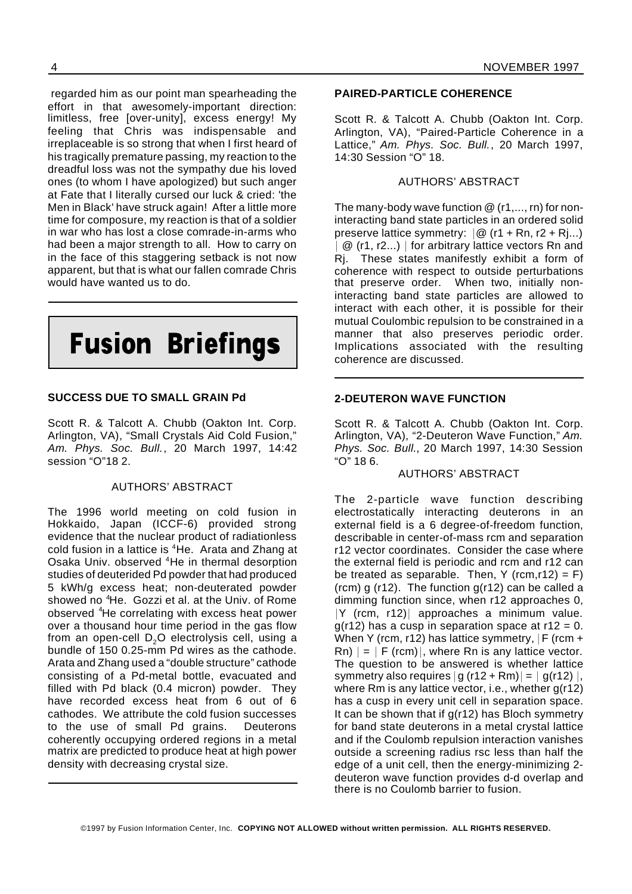regarded him as our point man spearheading the effort in that awesomely-important direction: limitless, free [over-unity], excess energy! My feeling that Chris was indispensable and irreplaceable is so strong that when I first heard of his tragically premature passing, my reaction to the dreadful loss was not the sympathy due his loved ones (to whom I have apologized) but such anger at Fate that I literally cursed our luck & cried: 'the Men in Black' have struck again! After a little more time for composure, my reaction is that of a soldier in war who has lost a close comrade-in-arms who had been a major strength to all. How to carry on in the face of this staggering setback is not now apparent, but that is what our fallen comrade Chris would have wanted us to do.



#### **SUCCESS DUE TO SMALL GRAIN Pd**

Scott R. & Talcott A. Chubb (Oakton Int. Corp. Arlington, VA), "Small Crystals Aid Cold Fusion," *Am. Phys. Soc. Bull.*, 20 March 1997, 14:42 session "O"18 2.

#### AUTHORS' ABSTRACT

The 1996 world meeting on cold fusion in Hokkaido, Japan (ICCF-6) provided strong evidence that the nuclear product of radiationless cold fusion in a lattice is <sup>4</sup>He. Arata and Zhang at Osaka Univ. observed <sup>4</sup>He in thermal desorption studies of deuterided Pd powder that had produced 5 kWh/g excess heat; non-deuterated powder showed no <sup>4</sup>He. Gozzi et al. at the Univ. of Rome observed <sup>4</sup>He correlating with excess heat power over a thousand hour time period in the gas flow from an open-cell  $D<sub>2</sub>O$  electrolysis cell, using a bundle of 150 0.25-mm Pd wires as the cathode. Arata and Zhang used a "double structure" cathode consisting of a Pd-metal bottle, evacuated and filled with Pd black (0.4 micron) powder. They have recorded excess heat from 6 out of 6 cathodes. We attribute the cold fusion successes to the use of small Pd grains. Deuterons coherently occupying ordered regions in a metal matrix are predicted to produce heat at high power density with decreasing crystal size.

#### **PAIRED-PARTICLE COHERENCE**

Scott R. & Talcott A. Chubb (Oakton Int. Corp. Arlington, VA), "Paired-Particle Coherence in a Lattice," *Am. Phys. Soc. Bull.*, 20 March 1997, 14:30 Session "O" 18.

#### AUTHORS' ABSTRACT

The many-body wave function @ (r1,..., rn) for noninteracting band state particles in an ordered solid preserve lattice symmetry:  $\mathcal{Q}(r1 + Rn, r2 + Rj...)$  $@$  (r1, r2...)  $|$  for arbitrary lattice vectors Rn and Rj. These states manifestly exhibit a form of coherence with respect to outside perturbations that preserve order. When two, initially noninteracting band state particles are allowed to interact with each other, it is possible for their mutual Coulombic repulsion to be constrained in a manner that also preserves periodic order. Implications associated with the resulting coherence are discussed.

#### **2-DEUTERON WAVE FUNCTION**

Scott R. & Talcott A. Chubb (Oakton Int. Corp. Arlington, VA), "2-Deuteron Wave Function," *Am. Phys. Soc. Bull.*, 20 March 1997, 14:30 Session "O" 18 6.

#### AUTHORS' ABSTRACT

The 2-particle wave function describing electrostatically interacting deuterons in an external field is a 6 degree-of-freedom function, describable in center-of-mass rcm and separation r12 vector coordinates. Consider the case where the external field is periodic and rcm and r12 can be treated as separable. Then, Y (rcm, r12) = F) (rcm) g (r12). The function  $g(r12)$  can be called a dimming function since, when r12 approaches 0,  $|Y$  (rcm, r12) approaches a minimum value.  $g(r12)$  has a cusp in separation space at r12 = 0. When Y (rcm, r12) has lattice symmetry,  $|F|$  (rcm +  $\mathsf{R}_0$ )  $= |\mathsf{F}(\mathsf{rcm})|$ , where  $\mathsf{R}_0$  is any lattice vector. The question to be answered is whether lattice symmetry also requires  $|g(r12 + Rm)| = |g(r12)|$ , where Rm is any lattice vector, i.e., whether g(r12) has a cusp in every unit cell in separation space. It can be shown that if g(r12) has Bloch symmetry for band state deuterons in a metal crystal lattice and if the Coulomb repulsion interaction vanishes outside a screening radius rsc less than half the edge of a unit cell, then the energy-minimizing 2 deuteron wave function provides d-d overlap and there is no Coulomb barrier to fusion.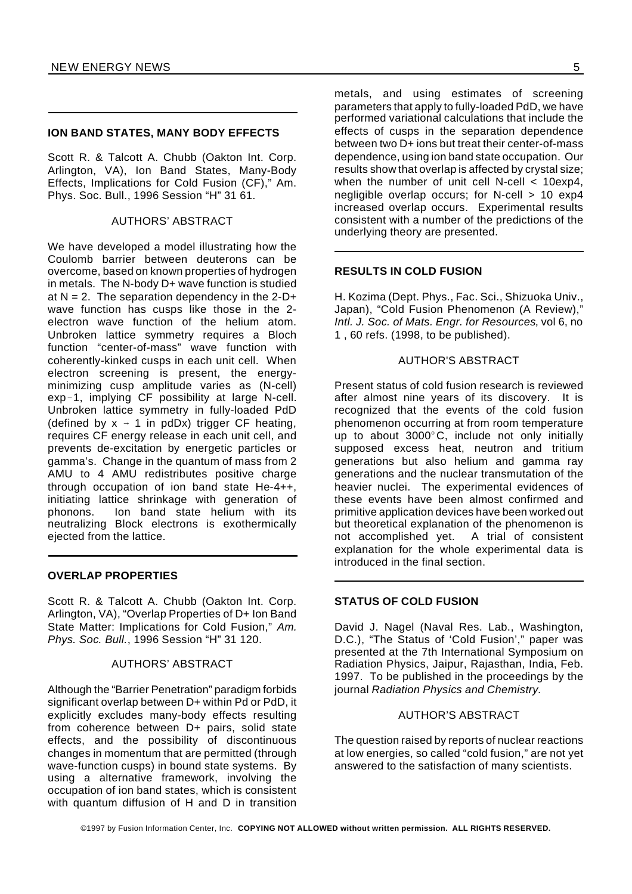#### **ION BAND STATES, MANY BODY EFFECTS**

Scott R. & Talcott A. Chubb (Oakton Int. Corp. Arlington, VA), Ion Band States, Many-Body Effects, Implications for Cold Fusion (CF)," Am. Phys. Soc. Bull., 1996 Session "H" 31 61.

#### AUTHORS' ABSTRACT

We have developed a model illustrating how the Coulomb barrier between deuterons can be overcome, based on known properties of hydrogen in metals. The N-body D+ wave function is studied at  $N = 2$ . The separation dependency in the 2-D+ wave function has cusps like those in the 2 electron wave function of the helium atom. Unbroken lattice symmetry requires a Bloch function "center-of-mass" wave function with coherently-kinked cusps in each unit cell. When electron screening is present, the energyminimizing cusp amplitude varies as (N-cell) exp-1, implying CF possibility at large N-cell. Unbroken lattice symmetry in fully-loaded PdD (defined by  $x \rightarrow 1$  in pdDx) trigger CF heating, requires CF energy release in each unit cell, and prevents de-excitation by energetic particles or gamma's. Change in the quantum of mass from 2 AMU to 4 AMU redistributes positive charge through occupation of ion band state He-4++, initiating lattice shrinkage with generation of phonons. Ion band state helium with its neutralizing Block electrons is exothermically ejected from the lattice.

#### **OVERLAP PROPERTIES**

Scott R. & Talcott A. Chubb (Oakton Int. Corp. Arlington, VA), "Overlap Properties of D+ Ion Band State Matter: Implications for Cold Fusion," *Am. Phys. Soc. Bull.*, 1996 Session "H" 31 120.

#### AUTHORS' ABSTRACT

Although the "Barrier Penetration" paradigm forbids significant overlap between D+ within Pd or PdD, it explicitly excludes many-body effects resulting from coherence between D+ pairs, solid state effects, and the possibility of discontinuous changes in momentum that are permitted (through wave-function cusps) in bound state systems. By using a alternative framework, involving the occupation of ion band states, which is consistent with quantum diffusion of H and D in transition

metals, and using estimates of screening parameters that apply to fully-loaded PdD, we have performed variational calculations that include the effects of cusps in the separation dependence between two D+ ions but treat their center-of-mass dependence, using ion band state occupation. Our results show that overlap is affected by crystal size; when the number of unit cell N-cell < 10exp4, negligible overlap occurs; for N-cell > 10 exp4 increased overlap occurs. Experimental results consistent with a number of the predictions of the underlying theory are presented.

#### **RESULTS IN COLD FUSION**

H. Kozima (Dept. Phys., Fac. Sci., Shizuoka Univ., Japan), "Cold Fusion Phenomenon (A Review)," *Intl. J. Soc. of Mats. Engr. for Resources*, vol 6, no 1 , 60 refs. (1998, to be published).

#### AUTHOR'S ABSTRACT

Present status of cold fusion research is reviewed after almost nine years of its discovery. It is recognized that the events of the cold fusion phenomenon occurring at from room temperature up to about  $3000^{\circ}$ C, include not only initially supposed excess heat, neutron and tritium generations but also helium and gamma ray generations and the nuclear transmutation of the heavier nuclei. The experimental evidences of these events have been almost confirmed and primitive application devices have been worked out but theoretical explanation of the phenomenon is not accomplished yet. A trial of consistent explanation for the whole experimental data is introduced in the final section.

#### **STATUS OF COLD FUSION**

David J. Nagel (Naval Res. Lab., Washington, D.C.), "The Status of 'Cold Fusion'," paper was presented at the 7th International Symposium on Radiation Physics, Jaipur, Rajasthan, India, Feb. 1997. To be published in the proceedings by the journal *Radiation Physics and Chemistry.*

#### AUTHOR'S ABSTRACT

The question raised by reports of nuclear reactions at low energies, so called "cold fusion," are not yet answered to the satisfaction of many scientists.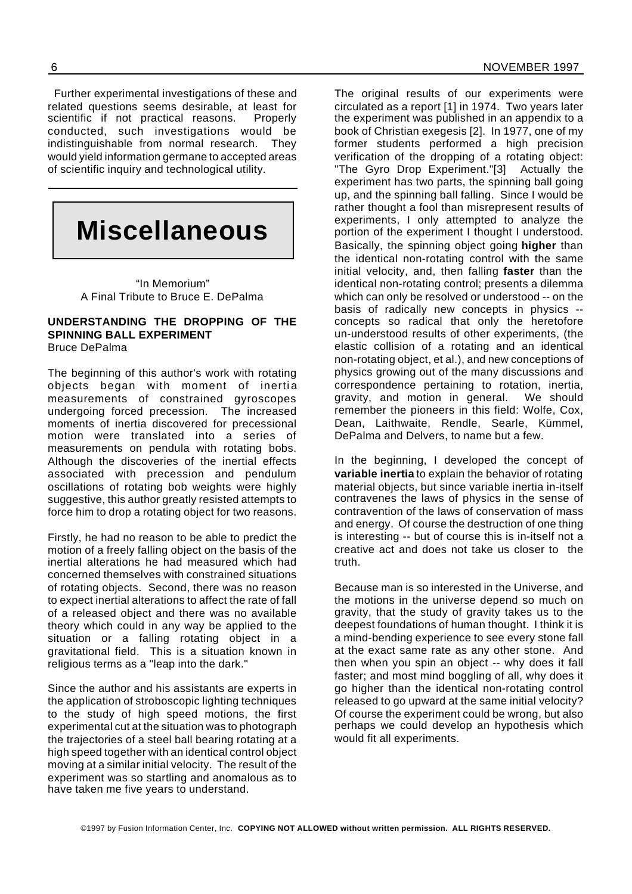Further experimental investigations of these and related questions seems desirable, at least for scientific if not practical reasons. Properly conducted, such investigations would be indistinguishable from normal research. They would yield information germane to accepted areas of scientific inquiry and technological utility.

## **Miscellaneous**

"In Memorium" A Final Tribute to Bruce E. DePalma

#### **UNDERSTANDING THE DROPPING OF THE SPINNING BALL EXPERIMENT** Bruce DePalma

The beginning of this author's work with rotating objects began with moment of inertia measurements of constrained gyroscopes undergoing forced precession. The increased moments of inertia discovered for precessional motion were translated into a series of measurements on pendula with rotating bobs. Although the discoveries of the inertial effects associated with precession and pendulum oscillations of rotating bob weights were highly suggestive, this author greatly resisted attempts to force him to drop a rotating object for two reasons.

Firstly, he had no reason to be able to predict the motion of a freely falling object on the basis of the inertial alterations he had measured which had concerned themselves with constrained situations of rotating objects. Second, there was no reason to expect inertial alterations to affect the rate of fall of a released object and there was no available theory which could in any way be applied to the situation or a falling rotating object in a gravitational field. This is a situation known in religious terms as a "leap into the dark."

Since the author and his assistants are experts in the application of stroboscopic lighting techniques to the study of high speed motions, the first experimental cut at the situation was to photograph the trajectories of a steel ball bearing rotating at a high speed together with an identical control object moving at a similar initial velocity. The result of the experiment was so startling and anomalous as to have taken me five years to understand.

The original results of our experiments were circulated as a report [1] in 1974. Two years later the experiment was published in an appendix to a book of Christian exegesis [2]. In 1977, one of my former students performed a high precision verification of the dropping of a rotating object: "The Gyro Drop Experiment."[3] Actually the experiment has two parts, the spinning ball going up, and the spinning ball falling. Since I would be rather thought a fool than misrepresent results of experiments, I only attempted to analyze the portion of the experiment I thought I understood. Basically, the spinning object going **higher** than the identical non-rotating control with the same initial velocity, and, then falling **faster** than the identical non-rotating control; presents a dilemma which can only be resolved or understood -- on the basis of radically new concepts in physics - concepts so radical that only the heretofore un-understood results of other experiments, (the elastic collision of a rotating and an identical non-rotating object, et al.), and new conceptions of physics growing out of the many discussions and correspondence pertaining to rotation, inertia, gravity, and motion in general. We should remember the pioneers in this field: Wolfe, Cox, Dean, Laithwaite, Rendle, Searle, Kümmel, DePalma and Delvers, to name but a few.

In the beginning, I developed the concept of **variable inertia** to explain the behavior of rotating material objects, but since variable inertia in-itself contravenes the laws of physics in the sense of contravention of the laws of conservation of mass and energy. Of course the destruction of one thing is interesting -- but of course this is in-itself not a creative act and does not take us closer to the truth.

Because man is so interested in the Universe, and the motions in the universe depend so much on gravity, that the study of gravity takes us to the deepest foundations of human thought. I think it is a mind-bending experience to see every stone fall at the exact same rate as any other stone. And then when you spin an object -- why does it fall faster; and most mind boggling of all, why does it go higher than the identical non-rotating control released to go upward at the same initial velocity? Of course the experiment could be wrong, but also perhaps we could develop an hypothesis which would fit all experiments.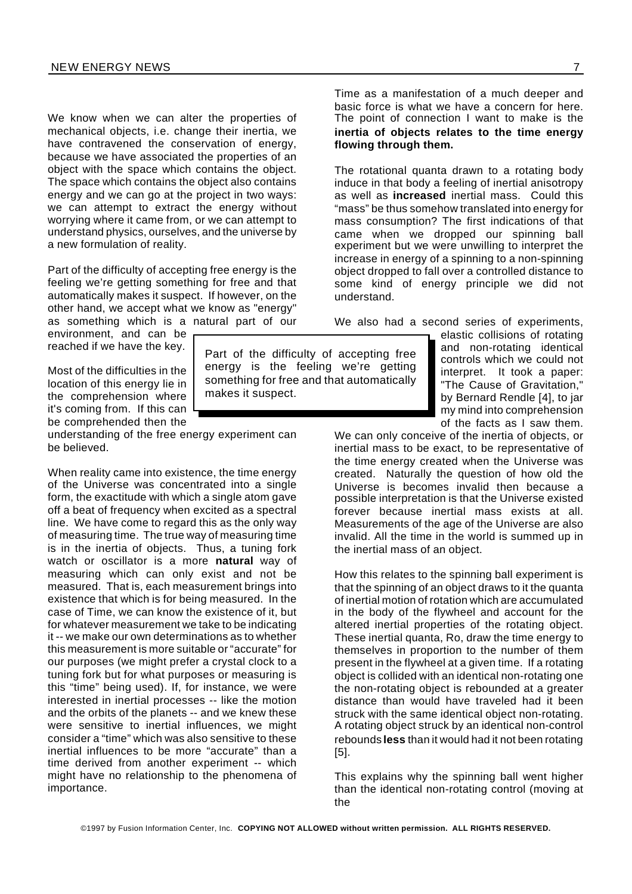We know when we can alter the properties of mechanical objects, i.e. change their inertia, we have contravened the conservation of energy, because we have associated the properties of an object with the space which contains the object. The space which contains the object also contains energy and we can go at the project in two ways: we can attempt to extract the energy without worrying where it came from, or we can attempt to understand physics, ourselves, and the universe by a new formulation of reality.

Part of the difficulty of accepting free energy is the feeling we're getting something for free and that automatically makes it suspect. If however, on the other hand, we accept what we know as "energy" as something which is a natural part of our

environment, and can be reached if we have the key.

Most of the difficulties in the location of this energy lie in the comprehension where it's coming from. If this can be comprehended then the

understanding of the free energy experiment can be believed.

When reality came into existence, the time energy of the Universe was concentrated into a single form, the exactitude with which a single atom gave off a beat of frequency when excited as a spectral line. We have come to regard this as the only way of measuring time. The true way of measuring time is in the inertia of objects. Thus, a tuning fork watch or oscillator is a more **natural** way of measuring which can only exist and not be measured. That is, each measurement brings into existence that which is for being measured. In the case of Time, we can know the existence of it, but for whatever measurement we take to be indicating it -- we make our own determinations as to whether this measurement is more suitable or "accurate" for our purposes (we might prefer a crystal clock to a tuning fork but for what purposes or measuring is this "time" being used). If, for instance, we were interested in inertial processes -- like the motion and the orbits of the planets -- and we knew these were sensitive to inertial influences, we might consider a "time" which was also sensitive to these inertial influences to be more "accurate" than a time derived from another experiment -- which might have no relationship to the phenomena of importance.

Part of the difficulty of accepting free energy is the feeling we're getting something for free and that automatically makes it suspect.

Time as a manifestation of a much deeper and basic force is what we have a concern for here. The point of connection I want to make is the **inertia of objects relates to the time energy flowing through them.**

The rotational quanta drawn to a rotating body induce in that body a feeling of inertial anisotropy as well as **increased** inertial mass. Could this "mass" be thus somehow translated into energy for mass consumption? The first indications of that came when we dropped our spinning ball experiment but we were unwilling to interpret the increase in energy of a spinning to a non-spinning object dropped to fall over a controlled distance to some kind of energy principle we did not understand.

We also had a second series of experiments,

elastic collisions of rotating and non-rotating identical controls which we could not interpret. It took a paper: "The Cause of Gravitation," by Bernard Rendle [4], to jar my mind into comprehension of the facts as I saw them.

We can only conceive of the inertia of objects, or inertial mass to be exact, to be representative of the time energy created when the Universe was created. Naturally the question of how old the Universe is becomes invalid then because a possible interpretation is that the Universe existed forever because inertial mass exists at all. Measurements of the age of the Universe are also invalid. All the time in the world is summed up in the inertial mass of an object.

How this relates to the spinning ball experiment is that the spinning of an object draws to it the quanta of inertial motion of rotation which are accumulated in the body of the flywheel and account for the altered inertial properties of the rotating object. These inertial quanta, Ro, draw the time energy to themselves in proportion to the number of them present in the flywheel at a given time. If a rotating object is collided with an identical non-rotating one the non-rotating object is rebounded at a greater distance than would have traveled had it been struck with the same identical object non-rotating. A rotating object struck by an identical non-control rebounds **less** than it would had it not been rotating [5].

This explains why the spinning ball went higher than the identical non-rotating control (moving at the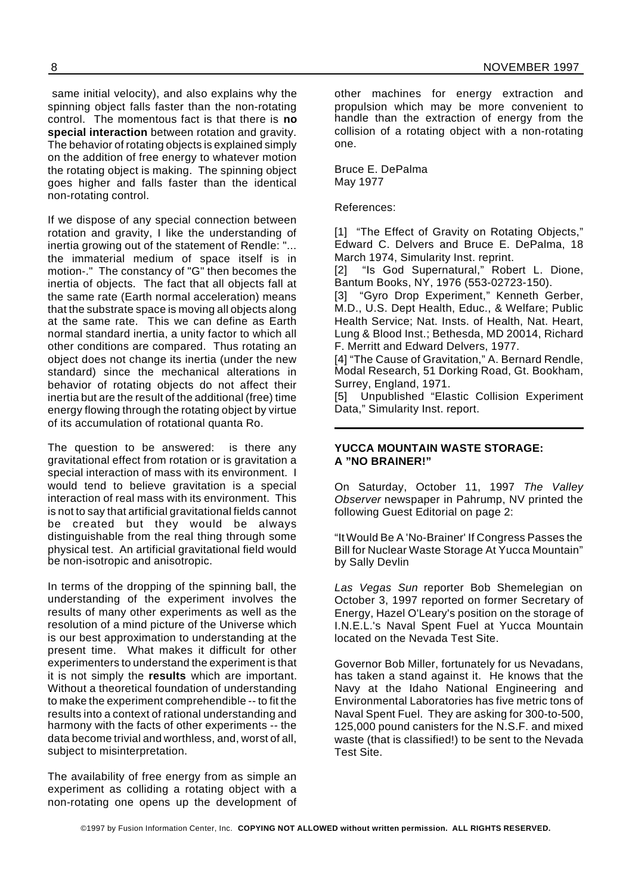same initial velocity), and also explains why the spinning object falls faster than the non-rotating control. The momentous fact is that there is **no special interaction** between rotation and gravity. The behavior of rotating objects is explained simply on the addition of free energy to whatever motion the rotating object is making. The spinning object goes higher and falls faster than the identical non-rotating control.

If we dispose of any special connection between rotation and gravity, I like the understanding of inertia growing out of the statement of Rendle: "... the immaterial medium of space itself is in motion-." The constancy of "G" then becomes the inertia of objects. The fact that all objects fall at the same rate (Earth normal acceleration) means that the substrate space is moving all objects along at the same rate. This we can define as Earth normal standard inertia, a unity factor to which all other conditions are compared. Thus rotating an object does not change its inertia (under the new standard) since the mechanical alterations in behavior of rotating objects do not affect their inertia but are the result of the additional (free) time energy flowing through the rotating object by virtue of its accumulation of rotational quanta Ro.

The question to be answered: is there any gravitational effect from rotation or is gravitation a special interaction of mass with its environment. I would tend to believe gravitation is a special interaction of real mass with its environment. This is not to say that artificial gravitational fields cannot be created but they would be always distinguishable from the real thing through some physical test. An artificial gravitational field would be non-isotropic and anisotropic.

In terms of the dropping of the spinning ball, the understanding of the experiment involves the results of many other experiments as well as the resolution of a mind picture of the Universe which is our best approximation to understanding at the present time. What makes it difficult for other experimenters to understand the experiment is that it is not simply the **results** which are important. Without a theoretical foundation of understanding to make the experiment comprehendible -- to fit the results into a context of rational understanding and harmony with the facts of other experiments -- the data become trivial and worthless, and, worst of all, subject to misinterpretation.

The availability of free energy from as simple an experiment as colliding a rotating object with a non-rotating one opens up the development of other machines for energy extraction and propulsion which may be more convenient to handle than the extraction of energy from the collision of a rotating object with a non-rotating one.

Bruce E. DePalma May 1977

References:

[1] "The Effect of Gravity on Rotating Objects," Edward C. Delvers and Bruce E. DePalma, 18 March 1974, Simularity Inst. reprint.

[2] "Is God Supernatural," Robert L. Dione, Bantum Books, NY, 1976 (553-02723-150).

[3] "Gyro Drop Experiment," Kenneth Gerber, M.D., U.S. Dept Health, Educ., & Welfare; Public Health Service; Nat. Insts. of Health, Nat. Heart, Lung & Blood Inst.; Bethesda, MD 20014, Richard F. Merritt and Edward Delvers, 1977.

[4] "The Cause of Gravitation," A. Bernard Rendle, Modal Research, 51 Dorking Road, Gt. Bookham, Surrey, England, 1971.

[5] Unpublished "Elastic Collision Experiment Data," Simularity Inst. report.

#### **YUCCA MOUNTAIN WASTE STORAGE: A "NO BRAINER!"**

On Saturday, October 11, 1997 *The Valley Observer* newspaper in Pahrump, NV printed the following Guest Editorial on page 2:

"ItWould Be A 'No-Brainer' If Congress Passes the Bill for Nuclear Waste Storage At Yucca Mountain" by Sally Devlin

*Las Vegas Sun* reporter Bob Shemelegian on October 3, 1997 reported on former Secretary of Energy, Hazel O'Leary's position on the storage of I.N.E.L.'s Naval Spent Fuel at Yucca Mountain located on the Nevada Test Site.

Governor Bob Miller, fortunately for us Nevadans, has taken a stand against it. He knows that the Navy at the Idaho National Engineering and Environmental Laboratories has five metric tons of Naval Spent Fuel. They are asking for 300-to-500, 125,000 pound canisters for the N.S.F. and mixed waste (that is classified!) to be sent to the Nevada Test Site.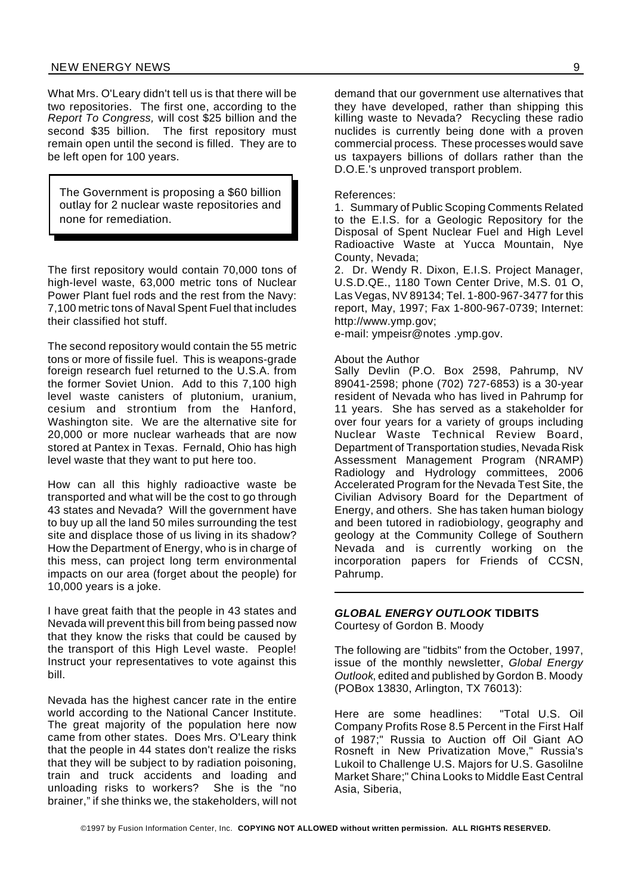What Mrs. O'Leary didn't tell us is that there will be two repositories. The first one, according to the *Report To Congress,* will cost \$25 billion and the second \$35 billion. The first repository must remain open until the second is filled. They are to be left open for 100 years.

The Government is proposing a \$60 billion outlay for 2 nuclear waste repositories and none for remediation.

The first repository would contain 70,000 tons of high-level waste, 63,000 metric tons of Nuclear Power Plant fuel rods and the rest from the Navy: 7,100 metric tons of Naval Spent Fuel that includes their classified hot stuff.

The second repository would contain the 55 metric tons or more of fissile fuel. This is weapons-grade foreign research fuel returned to the U.S.A. from the former Soviet Union. Add to this 7,100 high level waste canisters of plutonium, uranium, cesium and strontium from the Hanford, Washington site. We are the alternative site for 20,000 or more nuclear warheads that are now stored at Pantex in Texas. Fernald, Ohio has high level waste that they want to put here too.

How can all this highly radioactive waste be transported and what will be the cost to go through 43 states and Nevada? Will the government have to buy up all the land 50 miles surrounding the test site and displace those of us living in its shadow? How the Department of Energy, who is in charge of this mess, can project long term environmental impacts on our area (forget about the people) for 10,000 years is a joke.

I have great faith that the people in 43 states and Nevada will prevent this bill from being passed now that they know the risks that could be caused by the transport of this High Level waste. People! Instruct your representatives to vote against this bill.

Nevada has the highest cancer rate in the entire world according to the National Cancer Institute. The great majority of the population here now came from other states. Does Mrs. O'Leary think that the people in 44 states don't realize the risks that they will be subject to by radiation poisoning, train and truck accidents and loading and unloading risks to workers? She is the "no brainer," if she thinks we, the stakeholders, will not

demand that our government use alternatives that they have developed, rather than shipping this killing waste to Nevada? Recycling these radio nuclides is currently being done with a proven commercial process. These processes would save us taxpayers billions of dollars rather than the D.O.E.'s unproved transport problem.

References:

1. Summary of Public Scoping Comments Related to the E.I.S. for a Geologic Repository for the Disposal of Spent Nuclear Fuel and High Level Radioactive Waste at Yucca Mountain, Nye County, Nevada;

2. Dr. Wendy R. Dixon, E.I.S. Project Manager, U.S.D.QE., 1180 Town Center Drive, M.S. 01 O, Las Vegas, NV 89134; Tel. 1-800-967-3477 for this report, May, 1997; Fax 1-800-967-0739; Internet: http://www.ymp.gov;

e-mail: ympeisr@notes .ymp.gov.

#### About the Author

Sally Devlin (P.O. Box 2598, Pahrump, NV 89041-2598; phone (702) 727-6853) is a 30-year resident of Nevada who has lived in Pahrump for 11 years. She has served as a stakeholder for over four years for a variety of groups including Nuclear Waste Technical Review Board, Department of Transportation studies, Nevada Risk Assessment Management Program (NRAMP) Radiology and Hydrology committees, 2006 Accelerated Program for the Nevada Test Site, the Civilian Advisory Board for the Department of Energy, and others. She has taken human biology and been tutored in radiobiology, geography and geology at the Community College of Southern Nevada and is currently working on the incorporation papers for Friends of CCSN, Pahrump.

#### *GLOBAL ENERGY OUTLOOK* **TIDBITS** Courtesy of Gordon B. Moody

The following are "tidbits" from the October, 1997, issue of the monthly newsletter, *Global Energy Outlook*, edited and published by Gordon B. Moody (POBox 13830, Arlington, TX 76013):

Here are some headlines: "Total U.S. Oil Company Profits Rose 8.5 Percent in the First Half of 1987;" Russia to Auction off Oil Giant AO Rosneft in New Privatization Move," Russia's Lukoil to Challenge U.S. Majors for U.S. Gasolilne Market Share;" China Looks to Middle East Central Asia, Siberia,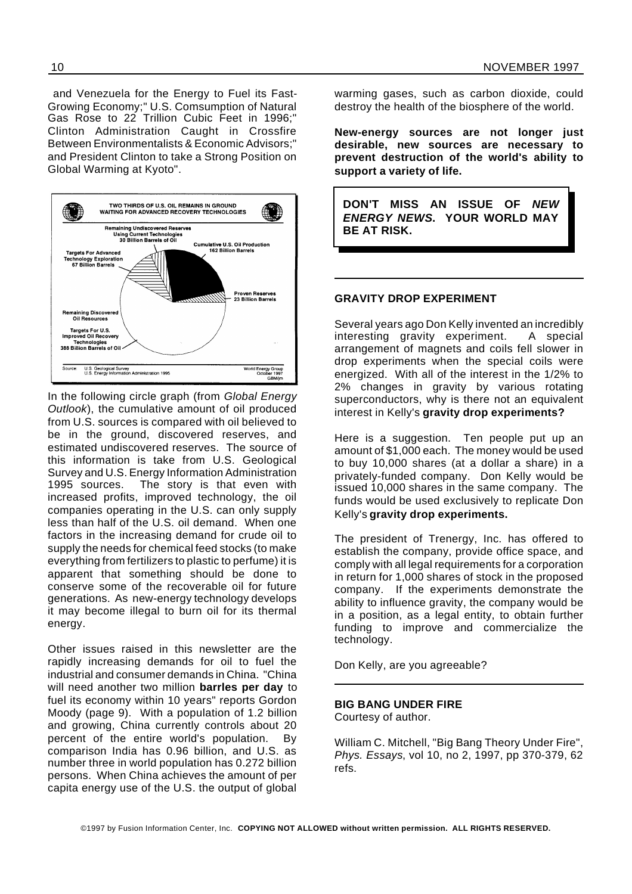and Venezuela for the Energy to Fuel its Fast-Growing Economy;" U.S. Comsumption of Natural Gas Rose to 22 Trillion Cubic Feet in 1996;" Clinton Administration Caught in Crossfire Between Environmentalists & Economic Advisors;" and President Clinton to take a Strong Position on Global Warming at Kyoto".



In the following circle graph (from *Global Energy Outlook*), the cumulative amount of oil produced from U.S. sources is compared with oil believed to be in the ground, discovered reserves, and estimated undiscovered reserves. The source of this information is take from U.S. Geological Survey and U.S. Energy Information Administration 1995 sources. The story is that even with increased profits, improved technology, the oil companies operating in the U.S. can only supply less than half of the U.S. oil demand. When one factors in the increasing demand for crude oil to supply the needs for chemical feed stocks (to make everything from fertilizers to plastic to perfume) it is apparent that something should be done to conserve some of the recoverable oil for future generations. As new-energy technology develops it may become illegal to burn oil for its thermal energy.

Other issues raised in this newsletter are the rapidly increasing demands for oil to fuel the industrial and consumer demands in China. "China will need another two million **barrles per day** to fuel its economy within 10 years" reports Gordon Moody (page 9). With a population of 1.2 billion and growing, China currently controls about 20 percent of the entire world's population. By comparison India has 0.96 billion, and U.S. as number three in world population has 0.272 billion persons. When China achieves the amount of per capita energy use of the U.S. the output of global warming gases, such as carbon dioxide, could destroy the health of the biosphere of the world.

**New-energy sources are not longer just desirable, new sources are necessary to prevent destruction of the world's ability to support a variety of life.**

**DON'T MISS AN ISSUE OF** *NEW ENERGY NEWS***. YOUR WORLD MAY BE AT RISK.**

#### **GRAVITY DROP EXPERIMENT**

Several years ago Don Kelly invented an incredibly interesting gravity experiment. A special arrangement of magnets and coils fell slower in drop experiments when the special coils were energized. With all of the interest in the 1/2% to 2% changes in gravity by various rotating superconductors, why is there not an equivalent interest in Kelly's **gravity drop experiments?**

Here is a suggestion. Ten people put up an amount of \$1,000 each. The money would be used to buy 10,000 shares (at a dollar a share) in a privately-funded company. Don Kelly would be issued 10,000 shares in the same company. The funds would be used exclusively to replicate Don Kelly's **gravity drop experiments.**

The president of Trenergy, Inc. has offered to establish the company, provide office space, and comply with all legal requirements for a corporation in return for 1,000 shares of stock in the proposed company. If the experiments demonstrate the ability to influence gravity, the company would be in a position, as a legal entity, to obtain further funding to improve and commercialize the technology.

Don Kelly, are you agreeable?

#### **BIG BANG UNDER FIRE**

Courtesy of author.

William C. Mitchell, "Big Bang Theory Under Fire", *Phys. Essays*, vol 10, no 2, 1997, pp 370-379, 62 refs.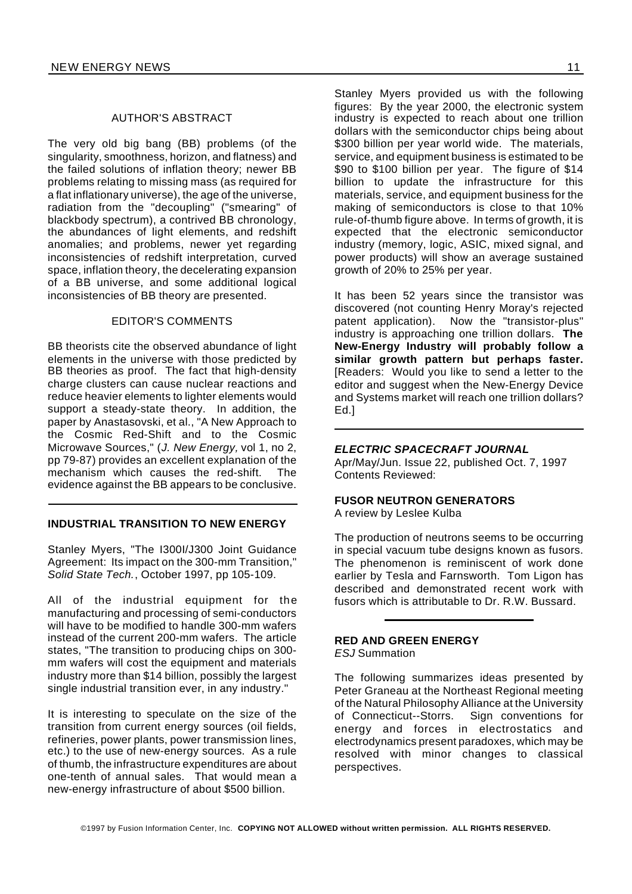#### AUTHOR'S ABSTRACT

The very old big bang (BB) problems (of the singularity, smoothness, horizon, and flatness) and the failed solutions of inflation theory; newer BB problems relating to missing mass (as required for a flat inflationary universe), the age of the universe, radiation from the "decoupling" ("smearing" of blackbody spectrum), a contrived BB chronology. the abundances of light elements, and redshift anomalies; and problems, newer yet regarding inconsistencies of redshift interpretation, curved space, inflation theory, the decelerating expansion of a BB universe, and some additional logical inconsistencies of BB theory are presented.

#### EDITOR'S COMMENTS

BB theorists cite the observed abundance of light elements in the universe with those predicted by BB theories as proof. The fact that high-density charge clusters can cause nuclear reactions and reduce heavier elements to lighter elements would support a steady-state theory. In addition, the paper by Anastasovski, et al., "A New Approach to the Cosmic Red-Shift and to the Cosmic Microwave Sources," (*J. New Energy,* vol 1, no 2, pp 79-87) provides an excellent explanation of the mechanism which causes the red-shift. The evidence against the BB appears to be conclusive.

#### **INDUSTRIAL TRANSITION TO NEW ENERGY**

Stanley Myers, "The I300I/J300 Joint Guidance Agreement: Its impact on the 300-mm Transition," *Solid State Tech.*, October 1997, pp 105-109.

All of the industrial equipment for the manufacturing and processing of semi-conductors will have to be modified to handle 300-mm wafers instead of the current 200-mm wafers. The article states, "The transition to producing chips on 300 mm wafers will cost the equipment and materials industry more than \$14 billion, possibly the largest single industrial transition ever, in any industry."

It is interesting to speculate on the size of the transition from current energy sources (oil fields, refineries, power plants, power transmission lines, etc.) to the use of new-energy sources. As a rule of thumb, the infrastructure expenditures are about one-tenth of annual sales. That would mean a new-energy infrastructure of about \$500 billion.

Stanley Myers provided us with the following figures: By the year 2000, the electronic system industry is expected to reach about one trillion dollars with the semiconductor chips being about \$300 billion per year world wide. The materials, service, and equipment business is estimated to be \$90 to \$100 billion per year. The figure of \$14 billion to update the infrastructure for this materials, service, and equipment business for the making of semiconductors is close to that 10% rule-of-thumb figure above. In terms of growth, it is expected that the electronic semiconductor industry (memory, logic, ASIC, mixed signal, and power products) will show an average sustained growth of 20% to 25% per year.

It has been 52 years since the transistor was discovered (not counting Henry Moray's rejected patent application). Now the "transistor-plus" industry is approaching one trillion dollars. **The New-Energy Industry will probably follow a similar growth pattern but perhaps faster.** [Readers: Would you like to send a letter to the editor and suggest when the New-Energy Device and Systems market will reach one trillion dollars? Ed.]

#### *ELECTRIC SPACECRAFT JOURNAL*

Apr/May/Jun. Issue 22, published Oct. 7, 1997 Contents Reviewed:

#### **FUSOR NEUTRON GENERATORS**

A review by Leslee Kulba

The production of neutrons seems to be occurring in special vacuum tube designs known as fusors. The phenomenon is reminiscent of work done earlier by Tesla and Farnsworth. Tom Ligon has described and demonstrated recent work with fusors which is attributable to Dr. R.W. Bussard.

#### **RED AND GREEN ENERGY** *ESJ* Summation

The following summarizes ideas presented by Peter Graneau at the Northeast Regional meeting of the Natural Philosophy Alliance at the University of Connecticut--Storrs. Sign conventions for energy and forces in electrostatics and electrodynamics present paradoxes, which may be resolved with minor changes to classical perspectives.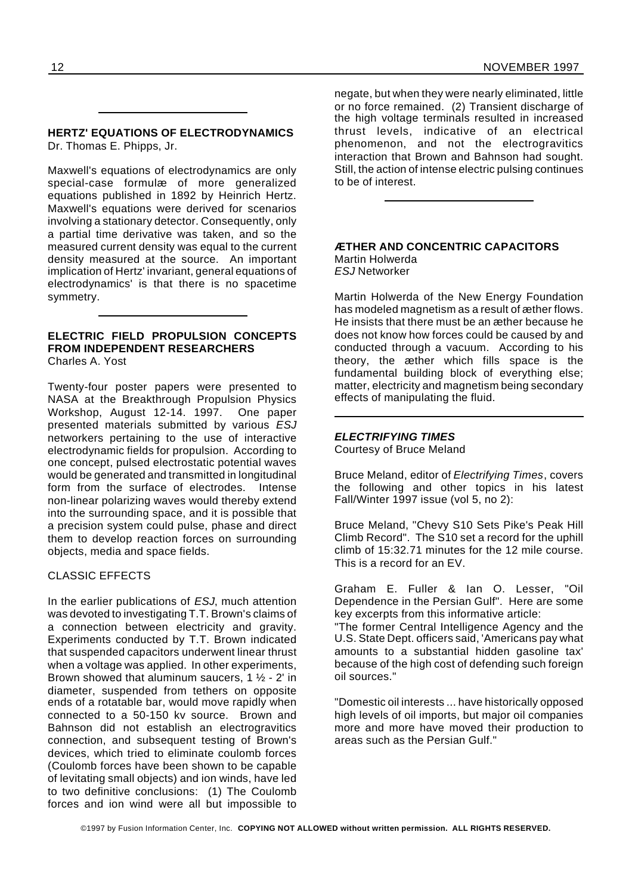#### **HERTZ' EQUATIONS OF ELECTRODYNAMICS** Dr. Thomas E. Phipps, Jr.

Maxwell's equations of electrodynamics are only special-case formulæ of more generalized equations published in 1892 by Heinrich Hertz. Maxwell's equations were derived for scenarios involving a stationary detector. Consequently, only a partial time derivative was taken, and so the measured current density was equal to the current density measured at the source. An important implication of Hertz' invariant, general equations of electrodynamics' is that there is no spacetime symmetry.

#### **ELECTRIC FIELD PROPULSION CONCEPTS FROM INDEPENDENT RESEARCHERS** Charles A. Yost

Twenty-four poster papers were presented to NASA at the Breakthrough Propulsion Physics Workshop, August 12-14. 1997. One paper presented materials submitted by various *ESJ* networkers pertaining to the use of interactive electrodynamic fields for propulsion. According to one concept, pulsed electrostatic potential waves would be generated and transmitted in longitudinal form from the surface of electrodes. Intense non-linear polarizing waves would thereby extend into the surrounding space, and it is possible that a precision system could pulse, phase and direct them to develop reaction forces on surrounding objects, media and space fields.

#### CLASSIC EFFECTS

In the earlier publications of *ESJ*, much attention was devoted to investigating T.T. Brown's claims of a connection between electricity and gravity. Experiments conducted by T.T. Brown indicated that suspended capacitors underwent linear thrust when a voltage was applied. In other experiments, Brown showed that aluminum saucers, 1 ½ - 2' in diameter, suspended from tethers on opposite ends of a rotatable bar, would move rapidly when connected to a 50-150 kv source. Brown and Bahnson did not establish an electrogravitics connection, and subsequent testing of Brown's devices, which tried to eliminate coulomb forces (Coulomb forces have been shown to be capable of levitating small objects) and ion winds, have led to two definitive conclusions: (1) The Coulomb forces and ion wind were all but impossible to negate, but when they were nearly eliminated, little or no force remained. (2) Transient discharge of the high voltage terminals resulted in increased thrust levels, indicative of an electrical phenomenon, and not the electrogravitics interaction that Brown and Bahnson had sought. Still, the action of intense electric pulsing continues to be of interest.

#### **ÆTHER AND CONCENTRIC CAPACITORS** Martin Holwerda *ESJ* Networker

Martin Holwerda of the New Energy Foundation has modeled magnetism as a result of æther flows. He insists that there must be an æther because he does not know how forces could be caused by and conducted through a vacuum. According to his theory, the æther which fills space is the fundamental building block of everything else; matter, electricity and magnetism being secondary effects of manipulating the fluid.

#### *ELECTRIFYING TIMES*

Courtesy of Bruce Meland

Bruce Meland, editor of *Electrifying Times*, covers the following and other topics in his latest Fall/Winter 1997 issue (vol 5, no 2):

Bruce Meland, "Chevy S10 Sets Pike's Peak Hill Climb Record". The S10 set a record for the uphill climb of 15:32.71 minutes for the 12 mile course. This is a record for an EV.

Graham E. Fuller & Ian O. Lesser, "Oil Dependence in the Persian Gulf". Here are some key excerpts from this informative article:

"The former Central Intelligence Agency and the U.S. State Dept. officers said, 'Americans pay what amounts to a substantial hidden gasoline tax' because of the high cost of defending such foreign oil sources."

"Domestic oil interests ... have historically opposed high levels of oil imports, but major oil companies more and more have moved their production to areas such as the Persian Gulf."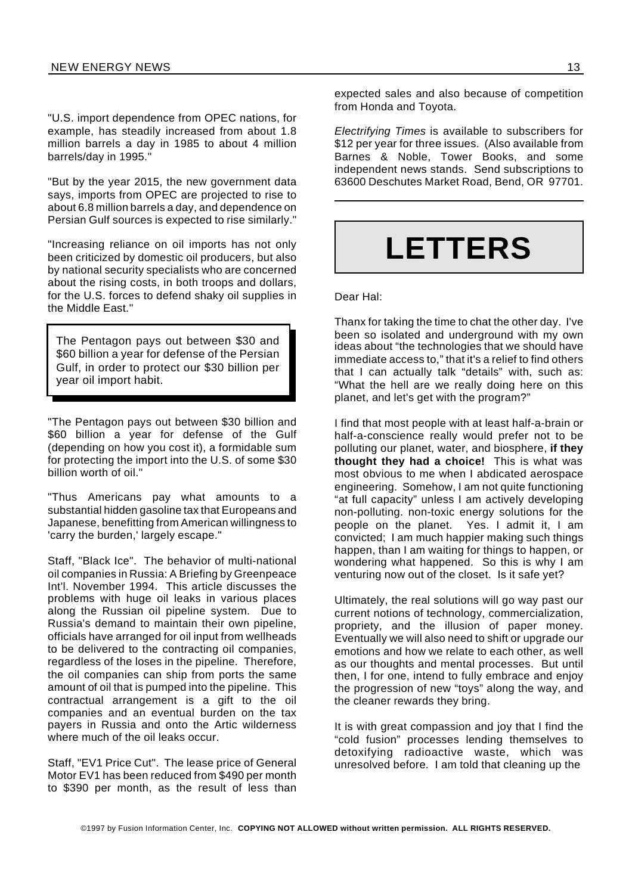"U.S. import dependence from OPEC nations, for example, has steadily increased from about 1.8 million barrels a day in 1985 to about 4 million barrels/day in 1995."

"But by the year 2015, the new government data says, imports from OPEC are projected to rise to about 6.8 million barrels a day, and dependence on Persian Gulf sources is expected to rise similarly."

"Increasing reliance on oil imports has not only been criticized by domestic oil producers, but also by national security specialists who are concerned about the rising costs, in both troops and dollars, for the U.S. forces to defend shaky oil supplies in the Middle East."

The Pentagon pays out between \$30 and \$60 billion a year for defense of the Persian Gulf, in order to protect our \$30 billion per year oil import habit.

"The Pentagon pays out between \$30 billion and \$60 billion a year for defense of the Gulf (depending on how you cost it), a formidable sum for protecting the import into the U.S. of some \$30 billion worth of oil."

"Thus Americans pay what amounts to a substantial hidden gasoline tax that Europeans and Japanese, benefitting from American willingness to 'carry the burden,' largely escape."

Staff, "Black Ice". The behavior of multi-national oil companies in Russia: A Briefing by Greenpeace Int'l. November 1994. This article discusses the problems with huge oil leaks in various places along the Russian oil pipeline system. Due to Russia's demand to maintain their own pipeline, officials have arranged for oil input from wellheads to be delivered to the contracting oil companies, regardless of the loses in the pipeline. Therefore, the oil companies can ship from ports the same amount of oil that is pumped into the pipeline. This contractual arrangement is a gift to the oil companies and an eventual burden on the tax payers in Russia and onto the Artic wilderness where much of the oil leaks occur.

Staff, "EV1 Price Cut". The lease price of General Motor EV1 has been reduced from \$490 per month to \$390 per month, as the result of less than

expected sales and also because of competition from Honda and Toyota.

*Electrifying Times* is available to subscribers for \$12 per year for three issues. (Also available from Barnes & Noble, Tower Books, and some independent news stands. Send subscriptions to 63600 Deschutes Market Road, Bend, OR 97701.

## **LETTERS**

Dear Hal:

Thanx for taking the time to chat the other day. I've been so isolated and underground with my own ideas about "the technologies that we should have immediate access to," that it's a relief to find others that I can actually talk "details" with, such as: "What the hell are we really doing here on this planet, and let's get with the program?"

I find that most people with at least half-a-brain or half-a-conscience really would prefer not to be polluting our planet, water, and biosphere, **if they thought they had a choice!** This is what was most obvious to me when I abdicated aerospace engineering. Somehow, I am not quite functioning "at full capacity" unless I am actively developing non-polluting. non-toxic energy solutions for the people on the planet. Yes. I admit it, I am convicted; I am much happier making such things happen, than I am waiting for things to happen, or wondering what happened. So this is why I am venturing now out of the closet. Is it safe yet?

Ultimately, the real solutions will go way past our current notions of technology, commercialization, propriety, and the illusion of paper money. Eventually we will also need to shift or upgrade our emotions and how we relate to each other, as well as our thoughts and mental processes. But until then, I for one, intend to fully embrace and enjoy the progression of new "toys" along the way, and the cleaner rewards they bring.

It is with great compassion and joy that I find the "cold fusion" processes lending themselves to detoxifying radioactive waste, which was unresolved before. I am told that cleaning up the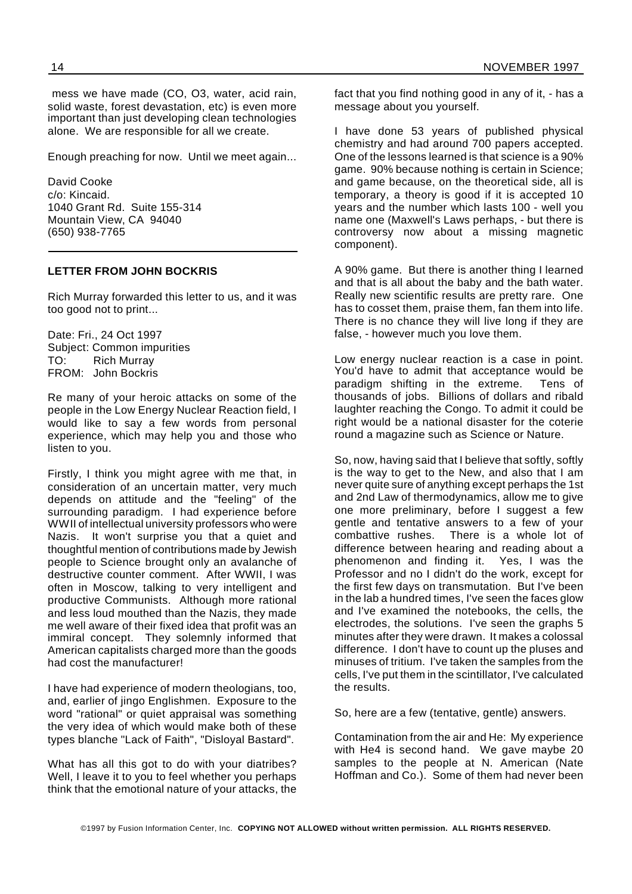mess we have made (CO, O3, water, acid rain, solid waste, forest devastation, etc) is even more important than just developing clean technologies alone. We are responsible for all we create.

Enough preaching for now. Until we meet again...

David Cooke c/o: Kincaid. 1040 Grant Rd. Suite 155-314 Mountain View, CA 94040 (650) 938-7765

#### **LETTER FROM JOHN BOCKRIS**

Rich Murray forwarded this letter to us, and it was too good not to print...

Date: Fri., 24 Oct 1997 Subject: Common impurities TO: Rich Murray FROM: John Bockris

Re many of your heroic attacks on some of the people in the Low Energy Nuclear Reaction field, I would like to say a few words from personal experience, which may help you and those who listen to you.

Firstly, I think you might agree with me that, in consideration of an uncertain matter, very much depends on attitude and the "feeling" of the surrounding paradigm. I had experience before WWII of intellectual university professors who were Nazis. It won't surprise you that a quiet and thoughtful mention of contributions made by Jewish people to Science brought only an avalanche of destructive counter comment. After WWII, I was often in Moscow, talking to very intelligent and productive Communists. Although more rational and less loud mouthed than the Nazis, they made me well aware of their fixed idea that profit was an immiral concept. They solemnly informed that American capitalists charged more than the goods had cost the manufacturer!

I have had experience of modern theologians, too, and, earlier of jingo Englishmen. Exposure to the word "rational" or quiet appraisal was something the very idea of which would make both of these types blanche "Lack of Faith", "Disloyal Bastard".

What has all this got to do with your diatribes? Well, I leave it to you to feel whether you perhaps think that the emotional nature of your attacks, the

fact that you find nothing good in any of it, - has a message about you yourself.

I have done 53 years of published physical chemistry and had around 700 papers accepted. One of the lessons learned is that science is a 90% game. 90% because nothing is certain in Science; and game because, on the theoretical side, all is temporary, a theory is good if it is accepted 10 years and the number which lasts 100 - well you name one (Maxwell's Laws perhaps, - but there is controversy now about a missing magnetic component).

A 90% game. But there is another thing I learned and that is all about the baby and the bath water. Really new scientific results are pretty rare. One has to cosset them, praise them, fan them into life. There is no chance they will live long if they are false, - however much you love them.

Low energy nuclear reaction is a case in point. You'd have to admit that acceptance would be paradigm shifting in the extreme. Tens of thousands of jobs. Billions of dollars and ribald laughter reaching the Congo. To admit it could be right would be a national disaster for the coterie round a magazine such as Science or Nature.

So, now, having said that I believe that softly, softly is the way to get to the New, and also that I am never quite sure of anything except perhaps the 1st and 2nd Law of thermodynamics, allow me to give one more preliminary, before I suggest a few gentle and tentative answers to a few of your combattive rushes. There is a whole lot of difference between hearing and reading about a phenomenon and finding it. Yes, I was the Professor and no I didn't do the work, except for the first few days on transmutation. But I've been in the lab a hundred times, I've seen the faces glow and I've examined the notebooks, the cells, the electrodes, the solutions. I've seen the graphs 5 minutes after they were drawn. It makes a colossal difference. I don't have to count up the pluses and minuses of tritium. I've taken the samples from the cells, I've put them in the scintillator, I've calculated the results.

So, here are a few (tentative, gentle) answers.

Contamination from the air and He: My experience with He4 is second hand. We gave maybe 20 samples to the people at N. American (Nate Hoffman and Co.). Some of them had never been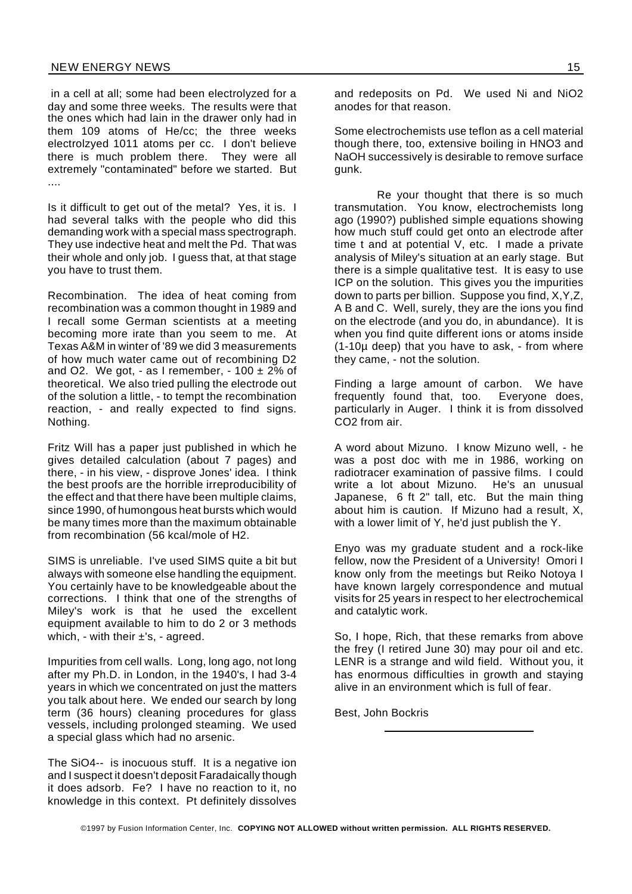in a cell at all; some had been electrolyzed for a day and some three weeks. The results were that the ones which had lain in the drawer only had in them 109 atoms of He/cc; the three weeks electrolzyed 1011 atoms per cc. I don't believe there is much problem there. They were all extremely "contaminated" before we started. But ....

Is it difficult to get out of the metal? Yes, it is. I had several talks with the people who did this demanding work with a special mass spectrograph. They use indective heat and melt the Pd. That was their whole and only job. I guess that, at that stage you have to trust them.

Recombination. The idea of heat coming from recombination was a common thought in 1989 and I recall some German scientists at a meeting becoming more irate than you seem to me. At Texas A&M in winter of '89 we did 3 measurements of how much water came out of recombining D2 and O2. We got, - as I remember, -  $100 \pm 2\%$  of theoretical. We also tried pulling the electrode out of the solution a little, - to tempt the recombination reaction, - and really expected to find signs. Nothing.

Fritz Will has a paper just published in which he gives detailed calculation (about 7 pages) and there, - in his view, - disprove Jones' idea. I think the best proofs are the horrible irreproducibility of the effect and that there have been multiple claims, since 1990, of humongous heat bursts which would be many times more than the maximum obtainable from recombination (56 kcal/mole of H2.

SIMS is unreliable. I've used SIMS quite a bit but always with someone else handling the equipment. You certainly have to be knowledgeable about the corrections. I think that one of the strengths of Miley's work is that he used the excellent equipment available to him to do 2 or 3 methods which, - with their  $\pm$ 's, - agreed.

Impurities from cell walls. Long, long ago, not long after my Ph.D. in London, in the 1940's, I had 3-4 years in which we concentrated on just the matters you talk about here. We ended our search by long term (36 hours) cleaning procedures for glass vessels, including prolonged steaming. We used a special glass which had no arsenic.

The SiO4-- is inocuous stuff. It is a negative ion and I suspect it doesn't deposit Faradaically though it does adsorb. Fe? I have no reaction to it, no knowledge in this context. Pt definitely dissolves

and redeposits on Pd. We used Ni and NiO2 anodes for that reason.

Some electrochemists use teflon as a cell material though there, too, extensive boiling in HNO3 and NaOH successively is desirable to remove surface gunk.

Re your thought that there is so much transmutation. You know, electrochemists long ago (1990?) published simple equations showing how much stuff could get onto an electrode after time t and at potential V, etc. I made a private analysis of Miley's situation at an early stage. But there is a simple qualitative test. It is easy to use ICP on the solution. This gives you the impurities down to parts per billion. Suppose you find, X,Y,Z, A B and C. Well, surely, they are the ions you find on the electrode (and you do, in abundance). It is when you find quite different ions or atoms inside (1-10µ deep) that you have to ask, - from where they came, - not the solution.

Finding a large amount of carbon. We have frequently found that, too. Everyone does, particularly in Auger. I think it is from dissolved CO2 from air.

A word about Mizuno. I know Mizuno well, - he was a post doc with me in 1986, working on radiotracer examination of passive films. I could write a lot about Mizuno. He's an unusual Japanese, 6 ft 2" tall, etc. But the main thing about him is caution. If Mizuno had a result, X, with a lower limit of Y, he'd just publish the Y.

Enyo was my graduate student and a rock-like fellow, now the President of a University! Omori I know only from the meetings but Reiko Notoya I have known largely correspondence and mutual visits for 25 years in respect to her electrochemical and catalytic work.

So, I hope, Rich, that these remarks from above the frey (I retired June 30) may pour oil and etc. LENR is a strange and wild field. Without you, it has enormous difficulties in growth and staying alive in an environment which is full of fear.

Best, John Bockris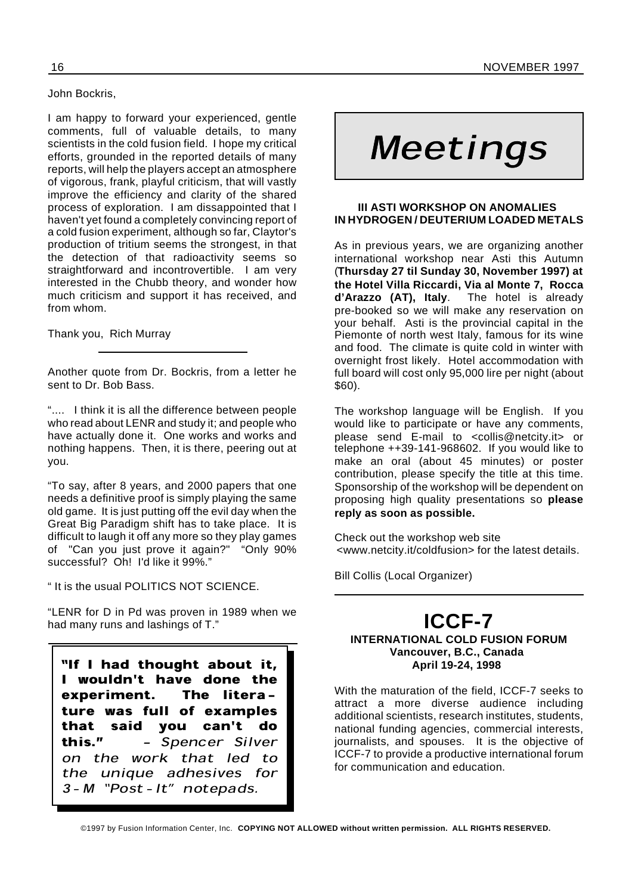John Bockris,

I am happy to forward your experienced, gentle comments, full of valuable details, to many scientists in the cold fusion field. I hope my critical efforts, grounded in the reported details of many reports, will help the players accept an atmosphere of vigorous, frank, playful criticism, that will vastly improve the efficiency and clarity of the shared process of exploration. I am dissappointed that I haven't yet found a completely convincing report of a cold fusion experiment, although so far, Claytor's production of tritium seems the strongest, in that the detection of that radioactivity seems so straightforward and incontrovertible. I am very interested in the Chubb theory, and wonder how much criticism and support it has received, and from whom.

Thank you, Rich Murray

Another quote from Dr. Bockris, from a letter he sent to Dr. Bob Bass.

".... I think it is all the difference between people who read about LENR and study it; and people who have actually done it. One works and works and nothing happens. Then, it is there, peering out at you.

"To say, after 8 years, and 2000 papers that one needs a definitive proof is simply playing the same old game. It is just putting off the evil day when the Great Big Paradigm shift has to take place. It is difficult to laugh it off any more so they play games of "Can you just prove it again?" "Only 90% successful? Oh! I'd like it 99%."

" It is the usual POLITICS NOT SCIENCE.

"LENR for D in Pd was proven in 1989 when we had many runs and lashings of T."

"If I had thought about it, I wouldn't have done the experiment. The literature was full of examples that said you can't do this." - Spencer Silver on the work that led to the unique adhesives for 3 - M "Post - It" notepads.

# Meetings

#### **III ASTI WORKSHOP ON ANOMALIES IN HYDROGEN / DEUTERIUM LOADED METALS**

As in previous years, we are organizing another international workshop near Asti this Autumn (**Thursday 27 til Sunday 30, November 1997) at the Hotel Villa Riccardi, Via al Monte 7, Rocca d'Arazzo (AT), Italy**. The hotel is already pre-booked so we will make any reservation on your behalf. Asti is the provincial capital in the Piemonte of north west Italy, famous for its wine and food. The climate is quite cold in winter with overnight frost likely. Hotel accommodation with full board will cost only 95,000 lire per night (about \$60).

The workshop language will be English. If you would like to participate or have any comments, please send E-mail to <collis@netcity.it> or telephone ++39-141-968602. If you would like to make an oral (about 45 minutes) or poster contribution, please specify the title at this time. Sponsorship of the workshop will be dependent on proposing high quality presentations so **please reply as soon as possible.**

Check out the workshop web site <www.netcity.it/coldfusion> for the latest details.

Bill Collis (Local Organizer)

#### **ICCF-7 INTERNATIONAL COLD FUSION FORUM Vancouver, B.C., Canada April 19-24, 1998**

With the maturation of the field, ICCF-7 seeks to attract a more diverse audience including additional scientists, research institutes, students, national funding agencies, commercial interests, journalists, and spouses. It is the objective of ICCF-7 to provide a productive international forum for communication and education.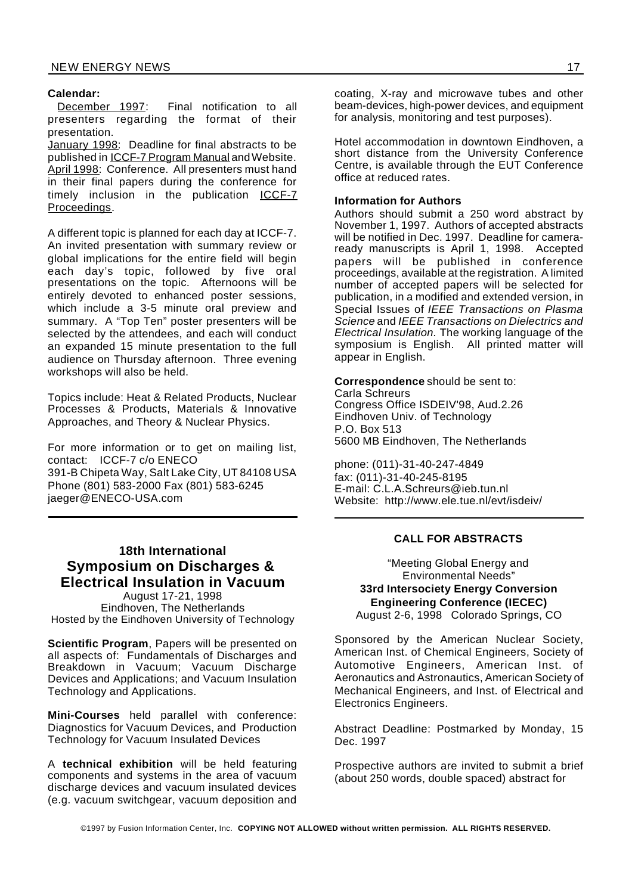Calendar:<br><u>December 1997:</u> Final notification to all presenters regarding the format of their presentation.

January 1998: Deadline for final abstracts to be published in ICCF-7 Program Manual andWebsite. April 1998: Conference. All presenters must hand in their final papers during the conference for timely inclusion in the publication ICCF-7 Proceedings.

A different topic is planned for each day at ICCF-7. An invited presentation with summary review or global implications for the entire field will begin each day's topic, followed by five oral presentations on the topic. Afternoons will be entirely devoted to enhanced poster sessions, which include a 3-5 minute oral preview and summary. A "Top Ten" poster presenters will be selected by the attendees, and each will conduct an expanded 15 minute presentation to the full audience on Thursday afternoon. Three evening workshops will also be held.

Topics include: Heat & Related Products, Nuclear Processes & Products, Materials & Innovative Approaches, and Theory & Nuclear Physics.

For more information or to get on mailing list, contact: ICCF-7 c/o ENECO 391-B Chipeta Way, Salt Lake City, UT 84108 USA Phone (801) 583-2000 Fax (801) 583-6245 jaeger@ENECO-USA.com

#### **18th International Symposium on Discharges & Electrical Insulation in Vacuum**

August 17-21, 1998 Eindhoven, The Netherlands Hosted by the Eindhoven University of Technology

**Scientific Program**, Papers will be presented on all aspects of: Fundamentals of Discharges and Breakdown in Vacuum; Vacuum Discharge Devices and Applications; and Vacuum Insulation Technology and Applications.

**Mini-Courses** held parallel with conference: Diagnostics for Vacuum Devices, and Production Technology for Vacuum Insulated Devices

A **technical exhibition** will be held featuring components and systems in the area of vacuum discharge devices and vacuum insulated devices (e.g. vacuum switchgear, vacuum deposition and

coating, X-ray and microwave tubes and other beam-devices, high-power devices, and equipment for analysis, monitoring and test purposes).

Hotel accommodation in downtown Eindhoven, a short distance from the University Conference Centre, is available through the EUT Conference office at reduced rates.

#### **Information for Authors**

Authors should submit a 250 word abstract by November 1, 1997. Authors of accepted abstracts will be notified in Dec. 1997. Deadline for cameraready manuscripts is April 1, 1998. Accepted papers will be published in conference proceedings, available at the registration. A limited number of accepted papers will be selected for publication, in a modified and extended version, in Special Issues of *IEEE Transactions on Plasma Science* and *IEEE Transactions on Dielectrics and Electrical Insulation.* The working language of the symposium is English. All printed matter will appear in English.

**Correspondence** should be sent to: Carla Schreurs Congress Office ISDEIV'98, Aud.2.26 Eindhoven Univ. of Technology P.O. Box 513 5600 MB Eindhoven, The Netherlands

phone: (011)-31-40-247-4849 fax: (011)-31-40-245-8195 E-mail: C.L.A.Schreurs@ieb.tun.nl Website: http://www.ele.tue.nl/evt/isdeiv/

#### **CALL FOR ABSTRACTS**

"Meeting Global Energy and Environmental Needs" **33rd Intersociety Energy Conversion Engineering Conference (IECEC)** August 2-6, 1998 Colorado Springs, CO

Sponsored by the American Nuclear Society, American Inst. of Chemical Engineers, Society of Automotive Engineers, American Inst. of Aeronautics and Astronautics, American Society of Mechanical Engineers, and Inst. of Electrical and Electronics Engineers.

Abstract Deadline: Postmarked by Monday, 15 Dec. 1997

Prospective authors are invited to submit a brief (about 250 words, double spaced) abstract for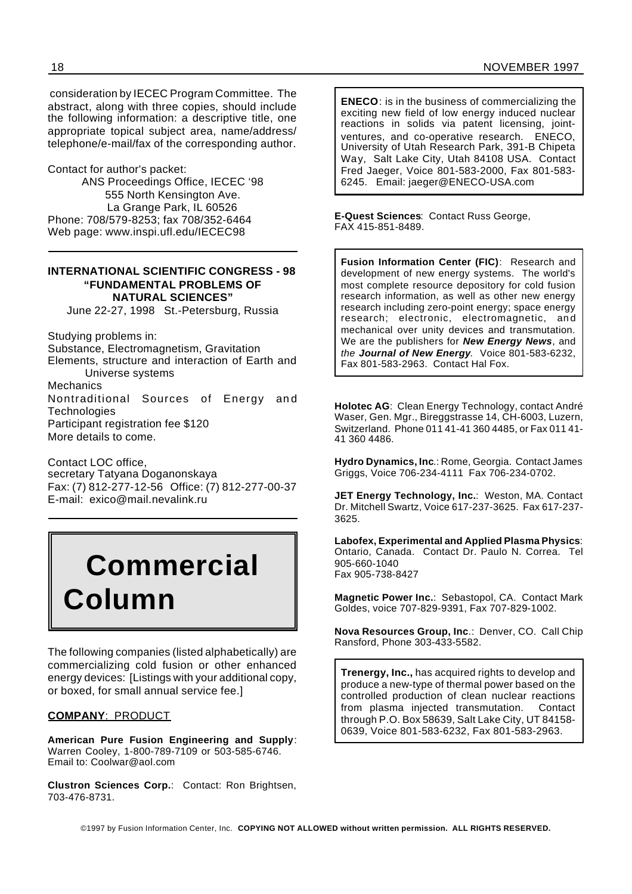consideration by IECEC Program Committee. The abstract, along with three copies, should include the following information: a descriptive title, one appropriate topical subject area, name/address/ telephone/e-mail/fax of the corresponding author.

Contact for author's packet:

ANS Proceedings Office, IECEC '98 555 North Kensington Ave. La Grange Park, IL 60526 Phone: 708/579-8253; fax 708/352-6464 Web page: www.inspi.ufl.edu/IECEC98

#### **INTERNATIONAL SCIENTIFIC CONGRESS - 98 "FUNDAMENTAL PROBLEMS OF NATURAL SCIENCES"**

June 22-27, 1998 St.-Petersburg, Russia

Studying problems in:

Substance, Electromagnetism, Gravitation Elements, structure and interaction of Earth and Universe systems

Mechanics Nontraditional Sources of Energy an d **Technologies** Participant registration fee \$120 More details to come.

Contact LOC office, secretary Tatyana Doganonskaya

Fax: (7) 812-277-12-56 Office: (7) 812-277-00-37 E-mail: exico@mail.nevalink.ru

## **Commercial Column**

The following companies (listed alphabetically) are commercializing cold fusion or other enhanced energy devices: [Listings with your additional copy, or boxed, for small annual service fee.]

#### **COMPANY**: PRODUCT

**American Pure Fusion Engineering and Supply**: Warren Cooley, 1-800-789-7109 or 503-585-6746. Email to: Coolwar@aol.com

**Clustron Sciences Corp.**: Contact: Ron Brightsen, 703-476-8731.

**ENECO**: is in the business of commercializing the exciting new field of low energy induced nuclear reactions in solids via patent licensing, jointventures, and co-operative research. ENECO, University of Utah Research Park, 391-B Chipeta Way, Salt Lake City, Utah 84108 USA. Contact Fred Jaeger, Voice 801-583-2000, Fax 801-583- 6245. Email: jaeger@ENECO-USA.com

**E-Quest Sciences**: Contact Russ George, FAX 415-851-8489.

**Fusion Information Center (FIC)**: Research and development of new energy systems. The world's most complete resource depository for cold fusion research information, as well as other new energy research including zero-point energy; space energy research; electronic, electromagnetic, an d mechanical over unity devices and transmutation. We are the publishers for *New Energy News*, and *the Journal of New Energy.* Voice 801-583-6232, Fax 801-583-2963. Contact Hal Fox.

**Holotec AG**: Clean Energy Technology, contact André Waser, Gen. Mgr., Bireggstrasse 14, CH-6003, Luzern, Switzerland. Phone 011 41-41 360 4485, or Fax 011 41- 41 360 4486.

**Hydro Dynamics, Inc**.: Rome, Georgia. Contact James Griggs, Voice 706-234-4111 Fax 706-234-0702.

**JET Energy Technology, Inc.**: Weston, MA. Contact Dr. Mitchell Swartz, Voice 617-237-3625. Fax 617-237- 3625.

**Labofex, Experimental and Applied Plasma Physics**: Ontario, Canada. Contact Dr. Paulo N. Correa. Tel 905-660-1040 Fax 905-738-8427

**Magnetic Power Inc.**: Sebastopol, CA. Contact Mark Goldes, voice 707-829-9391, Fax 707-829-1002.

**Nova Resources Group, Inc**.: Denver, CO. Call Chip Ransford, Phone 303-433-5582.

**Trenergy, Inc.,** has acquired rights to develop and produce a new-type of thermal power based on the controlled production of clean nuclear reactions from plasma injected transmutation. Contact through P.O. Box 58639, Salt Lake City, UT 84158- 0639, Voice 801-583-6232, Fax 801-583-2963.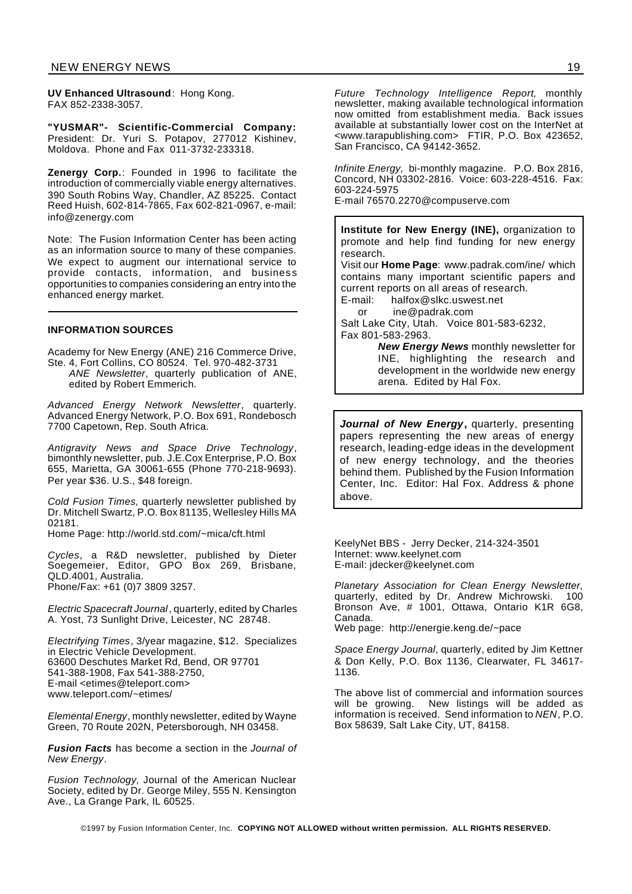**UV Enhanced Ultrasound**: Hong Kong. FAX 852-2338-3057.

**"YUSMAR"- Scientific-Commercial Company:** President: Dr. Yuri S. Potapov, 277012 Kishinev, Moldova. Phone and Fax 011-3732-233318.

**Zenergy Corp.**: Founded in 1996 to facilitate the introduction of commercially viable energy alternatives. 390 South Robins Way, Chandler, AZ 85225. Contact Reed Huish, 602-814-7865, Fax 602-821-0967, e-mail: info@zenergy.com

Note: The Fusion Information Center has been acting as an information source to many of these companies. We expect to augment our international service to provide contacts, information, and business opportunities to companies considering an entry into the enhanced energy market.

#### **INFORMATION SOURCES**

Academy for New Energy (ANE) 216 Commerce Drive, Ste. 4, Fort Collins, CO 80524. Tel. 970-482-3731 *ANE Newsletter*, quarterly publication of ANE, edited by Robert Emmerich.

*Advanced Energy Network Newsletter*, quarterly. Advanced Energy Network, P.O. Box 691, Rondebosch 7700 Capetown, Rep. South Africa.

*Antigravity News and Space Drive Technology*, bimonthly newsletter, pub. J.E.Cox Enterprise, P.O. Box 655, Marietta, GA 30061-655 (Phone 770-218-9693). Per year \$36. U.S., \$48 foreign.

*Cold Fusion Times,* quarterly newsletter published by Dr. Mitchell Swartz, P.O. Box 81135, Wellesley Hills MA 02181.

Home Page: http://world.std.com/~mica/cft.html

*Cycles*, a R&D newsletter, published by Dieter Soegemeier, Editor, GPO Box 269, Brisbane, QLD.4001, Australia. Phone/Fax: +61 (0)7 3809 3257.

*Electric Spacecraft Journal*, quarterly, edited by Charles A. Yost, 73 Sunlight Drive, Leicester, NC 28748.

*Electrifying Times*, 3/year magazine, \$12. Specializes in Electric Vehicle Development. 63600 Deschutes Market Rd, Bend, OR 97701 541-388-1908, Fax 541-388-2750, E-mail <etimes@teleport.com> www.teleport.com/~etimes/

*Elemental Energy*, monthly newsletter, edited by Wayne Green, 70 Route 202N, Petersborough, NH 03458.

*Fusion Facts* has become a section in the *Journal of New Energy*.

*Fusion Technology,* Journal of the American Nuclear Society, edited by Dr. George Miley, 555 N. Kensington Ave., La Grange Park, IL 60525.

*Future Technology Intelligence Report*, monthly newsletter, making available technological information now omitted from establishment media. Back issues available at substantially lower cost on the InterNet at <www.tarapublishing.com> FTIR, P.O. Box 423652, San Francisco, CA 94142-3652.

*Infinite Energy,* bi-monthly magazine. P.O. Box 2816, Concord, NH 03302-2816. Voice: 603-228-4516. Fax: 603-224-5975 E-mail 76570.2270@compuserve.com

**Institute for New Energy (INE),** organization to promote and help find funding for new energy research. Visit our **Home Page**: www.padrak.com/ine/ which contains many important scientific papers and current reports on all areas of research. E-mail: halfox@slkc.uswest.net or ine@padrak.com Salt Lake City, Utah. Voice 801-583-6232, Fax 801-583-2963. *New Energy News* monthly newsletter for

INE, highlighting the research and development in the worldwide new energy arena. Edited by Hal Fox.

*Journal of New Energy***,** quarterly, presenting papers representing the new areas of energy research, leading-edge ideas in the development of new energy technology, and the theories behind them. Published by the Fusion Information Center, Inc. Editor: Hal Fox. Address & phone above.

KeelyNet BBS - Jerry Decker, 214-324-3501 Internet: www.keelynet.com E-mail: jdecker@keelynet.com

*Planetary Association for Clean Energy Newsletter*, quarterly, edited by Dr. Andrew Michrowski. 100 Bronson Ave, # 1001, Ottawa, Ontario K1R 6G8, Canada.

Web page: http://energie.keng.de/~pace

*Space Energy Journal*, quarterly, edited by Jim Kettner & Don Kelly, P.O. Box 1136, Clearwater, FL 34617- 1136.

The above list of commercial and information sources will be growing. New listings will be added as information is received. Send information to *NEN*, P.O. Box 58639, Salt Lake City, UT, 84158.